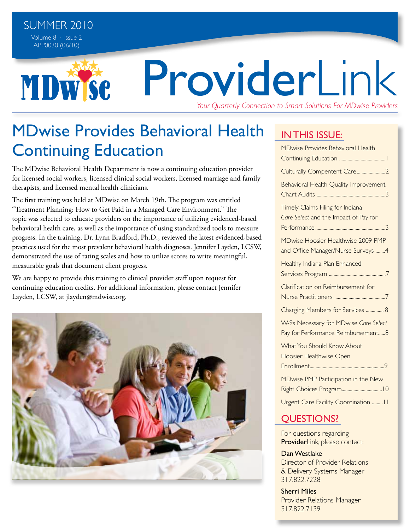MDW Se

# ProviderLink *Your Quarterly Connection to Smart Solutions For MDwise Providers*

MDwise Provides Behavioral Health Continuing Education

The MDwise Behavioral Health Department is now a continuing education provider for licensed social workers, licensed clinical social workers, licensed marriage and family therapists, and licensed mental health clinicians.

The first training was held at MDwise on March 19th. The program was entitled "Treatment Planning: How to Get Paid in a Managed Care Environment." The topic was selected to educate providers on the importance of utilizing evidenced-based behavioral health care, as well as the importance of using standardized tools to measure progress. In the training, Dr. Lynn Bradford, Ph.D., reviewed the latest evidenced-based practices used for the most prevalent behavioral health diagnoses. Jennifer Layden, LCSW, demonstrated the use of rating scales and how to utilize scores to write meaningful, measurable goals that document client progress.

We are happy to provide this training to clinical provider staff upon request for continuing education credits. For additional information, please contact Jennifer Layden, LCSW, at jlayden@mdwise.org.



## IN THIS ISSUE:

| <b>MDwise Provides Behavioral Health</b>                                    |
|-----------------------------------------------------------------------------|
| Culturally Compentent Care2                                                 |
| Behavioral Health Quality Improvement                                       |
| Timely Claims Filing for Indiana<br>Care Select and the Impact of Pay for   |
| MDwise Hoosier Healthwise 2009 PMP<br>and Office Manager/Nurse Surveys 4    |
| Healthy Indiana Plan Enhanced                                               |
| Clarification on Reimbursement for                                          |
| Charging Members for Services  8                                            |
| W-9s Necessary for MDwise Care Select<br>Pay for Performance Reimbursement8 |
| What You Should Know About<br>Hoosier Healthwise Open                       |
| MDwise PMP Participation in the New                                         |
| Urgent Care Facility Coordination  II                                       |

### questions?

For questions regarding ProviderLink, please contact:

Dan Westlake Director of Provider Relations & Delivery Systems Manager 317.822.7228

Sherri Miles Provider Relations Manager 317.822.7139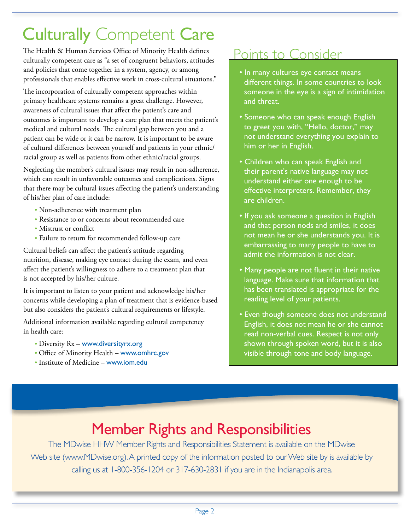## Culturally Competent Care

The Health & Human Services Office of Minority Health defines culturally competent care as "a set of congruent behaviors, attitudes and policies that come together in a system, agency, or among professionals that enables effective work in cross-cultural situations."

The incorporation of culturally competent approaches within primary healthcare systems remains a great challenge. However, awareness of cultural issues that affect the patient's care and outcomes is important to develop a care plan that meets the patient's medical and cultural needs. The cultural gap between you and a patient can be wide or it can be narrow. It is important to be aware of cultural differences between yourself and patients in your ethnic/ racial group as well as patients from other ethnic/racial groups.

Neglecting the member's cultural issues may result in non-adherence, which can result in unfavorable outcomes and complications. Signs that there may be cultural issues affecting the patient's understanding of his/her plan of care include:

- Non-adherence with treatment plan
- Resistance to or concerns about recommended care
- Mistrust or conflict
- Failure to return for recommended follow-up care

Cultural beliefs can affect the patient's attitude regarding nutrition, disease, making eye contact during the exam, and even affect the patient's willingness to adhere to a treatment plan that is not accepted by his/her culture.

It is important to listen to your patient and acknowledge his/her concerns while developing a plan of treatment that is evidence-based but also considers the patient's cultural requirements or lifestyle.

Additional information available regarding cultural competency in health care:

- Diversity Rx www.diversityrx.org
- Office of Minority Health www.omhrc.gov
- Institute of Medicine www.iom.edu

## Points to Consider

- In many cultures eye contact means different things. In some countries to look someone in the eye is a sign of intimidation and threat.
- Someone who can speak enough English to greet you with, "Hello, doctor," may not understand everything you explain to him or her in English.
- Children who can speak English and their parent's native language may not understand either one enough to be effective interpreters. Remember, they are children.
- If you ask someone a question in English and that person nods and smiles, it does not mean he or she understands you. It is embarrassing to many people to have to admit the information is not clear.
- Many people are not fluent in their native language. Make sure that information that has been translated is appropriate for the reading level of your patients.
- Even though someone does not understand English, it does not mean he or she cannot read non-verbal cues. Respect is not only shown through spoken word, but it is also visible through tone and body language.

## Member Rights and Responsibilities

The MDwise HHW Member Rights and Responsibilities Statement is available on the MDwise Web site (www.MDwise.org). A printed copy of the information posted to our Web site by is available by calling us at 1-800-356-1204 or 317-630-2831 if you are in the Indianapolis area.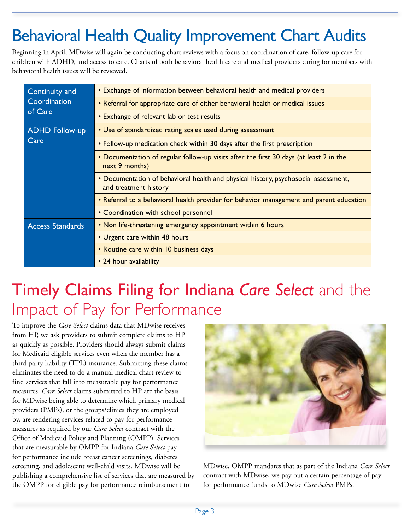## Behavioral Health Quality Improvement Chart Audits

Beginning in April, MDwise will again be conducting chart reviews with a focus on coordination of care, follow-up care for children with ADHD, and access to care. Charts of both behavioral health care and medical providers caring for members with behavioral health issues will be reviewed.

| Continuity and          | • Exchange of information between behavioral health and medical providers                                    |  |  |  |
|-------------------------|--------------------------------------------------------------------------------------------------------------|--|--|--|
| Coordination            | • Referral for appropriate care of either behavioral health or medical issues                                |  |  |  |
| of Care                 | • Exchange of relevant lab or test results                                                                   |  |  |  |
| <b>ADHD Follow-up</b>   | • Use of standardized rating scales used during assessment                                                   |  |  |  |
| Care                    | • Follow-up medication check within 30 days after the first prescription                                     |  |  |  |
|                         | • Documentation of regular follow-up visits after the first 30 days (at least 2 in the<br>next 9 months)     |  |  |  |
|                         | • Documentation of behavioral health and physical history, psychosocial assessment,<br>and treatment history |  |  |  |
|                         | • Referral to a behavioral health provider for behavior management and parent education                      |  |  |  |
|                         | • Coordination with school personnel                                                                         |  |  |  |
| <b>Access Standards</b> | • Non life-threatening emergency appointment within 6 hours                                                  |  |  |  |
|                         | • Urgent care within 48 hours                                                                                |  |  |  |
|                         | • Routine care within 10 business days                                                                       |  |  |  |
|                         | • 24 hour availability                                                                                       |  |  |  |

## Timely Claims Filing for Indiana *Care Select* and the Impact of Pay for Performance

To improve the *Care Select* claims data that MDwise receives from HP, we ask providers to submit complete claims to HP as quickly as possible. Providers should always submit claims for Medicaid eligible services even when the member has a third party liability (TPL) insurance. Submitting these claims eliminates the need to do a manual medical chart review to find services that fall into measurable pay for performance measures. *Care Select* claims submitted to HP are the basis for MDwise being able to determine which primary medical providers (PMPs), or the groups/clinics they are employed by, are rendering services related to pay for performance measures as required by our *Care Select* contract with the Office of Medicaid Policy and Planning (OMPP). Services that are measurable by OMPP for Indiana *Care Select* pay for performance include breast cancer screenings, diabetes screening, and adolescent well-child visits. MDwise will be publishing a comprehensive list of services that are measured by the OMPP for eligible pay for performance reimbursement to



MDwise. OMPP mandates that as part of the Indiana *Care Select* contract with MDwise, we pay out a certain percentage of pay for performance funds to MDwise *Care Select* PMPs.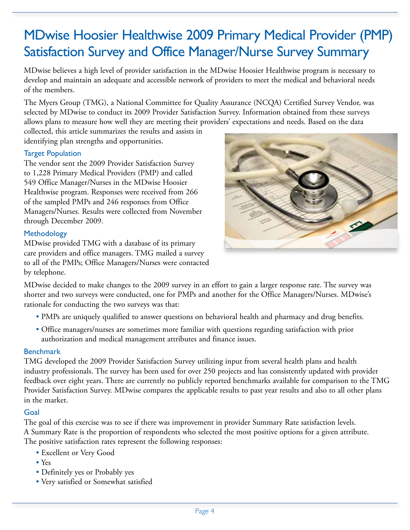## MDwise Hoosier Healthwise 2009 Primary Medical Provider (PMP) Satisfaction Survey and Office Manager/Nurse Survey Summary

MDwise believes a high level of provider satisfaction in the MDwise Hoosier Healthwise program is necessary to develop and maintain an adequate and accessible network of providers to meet the medical and behavioral needs of the members.

The Myers Group (TMG), a National Committee for Quality Assurance (NCQA) Certified Survey Vendor, was selected by MDwise to conduct its 2009 Provider Satisfaction Survey. Information obtained from these surveys allows plans to measure how well they are meeting their providers' expectations and needs. Based on the data

collected, this article summarizes the results and assists in identifying plan strengths and opportunities.

### Target Population

The vendor sent the 2009 Provider Satisfaction Survey to 1,228 Primary Medical Providers (PMP) and called 549 Office Manager/Nurses in the MDwise Hoosier Healthwise program. Responses were received from 266 of the sampled PMPs and 246 responses from Office Managers/Nurses. Results were collected from November through December 2009.

### **Methodology**

MDwise provided TMG with a database of its primary care providers and office managers. TMG mailed a survey to all of the PMPs; Office Managers/Nurses were contacted by telephone.



MDwise decided to make changes to the 2009 survey in an effort to gain a larger response rate. The survey was shorter and two surveys were conducted, one for PMPs and another for the Office Managers/Nurses. MDwise's rationale for conducting the two surveys was that:

- PMPs are uniquely qualified to answer questions on behavioral health and pharmacy and drug benefits.
- Office managers/nurses are sometimes more familiar with questions regarding satisfaction with prior authorization and medical management attributes and finance issues.

### **Benchmark**

TMG developed the 2009 Provider Satisfaction Survey utilizing input from several health plans and health industry professionals. The survey has been used for over 250 projects and has consistently updated with provider feedback over eight years. There are currently no publicly reported benchmarks available for comparison to the TMG Provider Satisfaction Survey. MDwise compares the applicable results to past year results and also to all other plans in the market.

### Goal

The goal of this exercise was to see if there was improvement in provider Summary Rate satisfaction levels. A Summary Rate is the proportion of respondents who selected the most positive options for a given attribute. The positive satisfaction rates represent the following responses:

- Excellent or Very Good
- Yes
- Definitely yes or Probably yes
- Very satisfied or Somewhat satisfied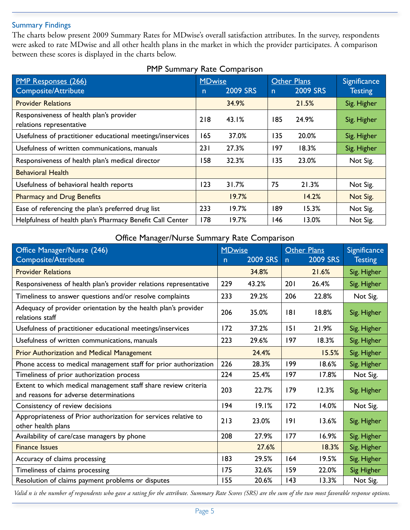#### Summary Findings

The charts below present 2009 Summary Rates for MDwise's overall satisfaction attributes. In the survey, respondents were asked to rate MDwise and all other health plans in the market in which the provider participates. A comparison between these scores is displayed in the charts below.

| <b>PMP Responses (266)</b>                                           | <b>MDwise</b> |                 |              | <b>Other Plans</b> | <b>Significance</b> |
|----------------------------------------------------------------------|---------------|-----------------|--------------|--------------------|---------------------|
| <b>Composite/Attribute</b>                                           | $\mathsf{n}$  | <b>2009 SRS</b> | $\mathsf{n}$ | <b>2009 SRS</b>    | <b>Testing</b>      |
| <b>Provider Relations</b>                                            |               | 34.9%           |              | 21.5%              | Sig. Higher         |
| Responsiveness of health plan's provider<br>relations representative | 218           | 43.1%           | 185          | 24.9%              | Sig. Higher         |
| Usefulness of practitioner educational meetings/inservices           | 165           | 37.0%           | 135          | 20.0%              | Sig. Higher         |
| Usefulness of written communications, manuals                        | 231           | 27.3%           | 197          | 18.3%              | Sig. Higher         |
| Responsiveness of health plan's medical director                     | 158           | 32.3%           | 135          | 23.0%              | Not Sig.            |
| <b>Behavioral Health</b>                                             |               |                 |              |                    |                     |
| Usefulness of behavioral health reports                              | 123           | 31.7%           | 75           | 21.3%              | Not Sig.            |
| <b>Pharmacy and Drug Benefits</b>                                    |               | 19.7%           |              | 14.2%              | Not Sig.            |
| Ease of referencing the plan's preferred drug list                   | 233           | 19.7%           | 189          | 15.3%              | Not Sig.            |
| Helpfulness of health plan's Pharmacy Benefit Call Center            | 178           | 19.7%           | 146          | 13.0%              | Not Sig.            |

### PMP Summary Rate Comparison

### Office Manager/Nurse Summary Rate Comparison

| Office Manager/Nurse (246)                                                                               |                     | <b>MDwise</b>   |                | <b>Other Plans</b> | Significance   |
|----------------------------------------------------------------------------------------------------------|---------------------|-----------------|----------------|--------------------|----------------|
| <b>Composite/Attribute</b>                                                                               | n                   | <b>2009 SRS</b> | $\overline{p}$ | <b>2009 SRS</b>    | <b>Testing</b> |
| <b>Provider Relations</b>                                                                                |                     | 34.8%           |                | 21.6%              | Sig. Higher    |
| Responsiveness of health plan's provider relations representative                                        | 229                 | 43.2%           | 201            | 26.4%              | Sig. Higher    |
| Timeliness to answer questions and/or resolve complaints                                                 | 233                 | 29.2%           | 206            | 22.8%              | Not Sig.       |
| Adequacy of provider orientation by the health plan's provider<br>relations staff                        | 206                 | 35.0%           | 8 <br>18.8%    |                    | Sig. Higher    |
| Usefulness of practitioner educational meetings/inservices                                               | 172                 | 37.2%           | 151            | 21.9%              | Sig. Higher    |
| Usefulness of written communications, manuals                                                            | 223<br>29.6%<br>197 |                 |                | 18.3%              | Sig. Higher    |
| <b>Prior Authorization and Medical Management</b>                                                        |                     | 24.4%           |                | 15.5%              | Sig. Higher    |
| Phone access to medical management staff for prior authorization                                         |                     | 28.3%           | 199            | 18.6%              | Sig. Higher    |
| Timeliness of prior authorization process                                                                | 224                 | 25.4%           | 197<br>17.8%   |                    | Not Sig.       |
| Extent to which medical management staff share review criteria<br>and reasons for adverse determinations | 203                 | 22.7%           | 179            | 12.3%              | Sig. Higher    |
| Consistency of review decisions                                                                          | 194                 | 19.1%           | 172            | 14.0%              | Not Sig.       |
| Appropriateness of Prior authorization for services relative to<br>other health plans                    | 213                 | 23.0%           | 9              | 13.6%              | Sig. Higher    |
| Availability of care/case managers by phone                                                              | 208                 | 27.9%           | 177            | 16.9%              | Sig. Higher    |
| <b>Finance Issues</b>                                                                                    |                     | 27.6%           |                | 18.3%              | Sig. Higher    |
| Accuracy of claims processing                                                                            | 183                 | 29.5%           | 164            | 19.5%              | Sig. Higher    |
| Timeliness of claims processing                                                                          | 175                 | 32.6%           | 159            | 22.0%              | Sig Higher     |
| Resolution of claims payment problems or disputes                                                        | 155                 | 20.6%           | 143            | 13.3%              | Not Sig.       |

*Valid n is the number of respondents who gave a rating for the attribute. Summary Rate Scores (SRS) are the sum of the two most favorable response options.*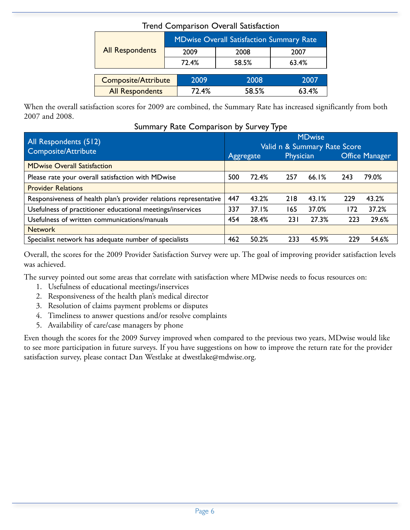|                            | <b>MDwise Overall Satisfaction Summary Rate</b> |       |       |  |  |  |  |
|----------------------------|-------------------------------------------------|-------|-------|--|--|--|--|
| <b>All Respondents</b>     | 2009                                            | 2008  | 2007  |  |  |  |  |
|                            | 72.4%                                           | 58.5% | 63.4% |  |  |  |  |
|                            |                                                 |       |       |  |  |  |  |
| <b>Composite/Attribute</b> | 2009                                            | 2008  | 2007  |  |  |  |  |
| <b>All Respondents</b>     | 72.4%                                           | 58.5% | 63.4% |  |  |  |  |

### Trend Comparison Overall Satisfaction

When the overall satisfaction scores for 2009 are combined, the Summary Rate has increased significantly from both 2007 and 2008.

| Summary Rate Comparison by Survey Type |  |  |  |  |  |  |  |
|----------------------------------------|--|--|--|--|--|--|--|
|----------------------------------------|--|--|--|--|--|--|--|

| All Respondents (512)<br>Composite/Attribute                      |     |           |                  | <b>MDwise</b><br>Valid n & Summary Rate Score |     |                       |
|-------------------------------------------------------------------|-----|-----------|------------------|-----------------------------------------------|-----|-----------------------|
|                                                                   |     | Aggregate | <b>Physician</b> |                                               |     | <b>Office Manager</b> |
| <b>MDwise Overall Satisfaction</b>                                |     |           |                  |                                               |     |                       |
| Please rate your overall satisfaction with MDwise                 | 500 | 72.4%     | 257              | 66.1%                                         | 243 | 79.0%                 |
| <b>Provider Relations</b>                                         |     |           |                  |                                               |     |                       |
| Responsiveness of health plan's provider relations representative | 447 | 43.2%     | 218              | 43.1%                                         | 229 | 43.2%                 |
| Usefulness of practitioner educational meetings/inservices        | 337 | 37.1%     | 165              | 37.0%                                         | 172 | 37.2%                 |
| Usefulness of written communications/manuals                      | 454 | 28.4%     | 231              | 27.3%                                         | 223 | 29.6%                 |
| <b>Network</b>                                                    |     |           |                  |                                               |     |                       |
| Specialist network has adequate number of specialists             | 462 | 50.2%     | 233              | 45.9%                                         | 229 | 54.6%                 |

Overall, the scores for the 2009 Provider Satisfaction Survey were up. The goal of improving provider satisfaction levels was achieved.

The survey pointed out some areas that correlate with satisfaction where MDwise needs to focus resources on:

- 1. Usefulness of educational meetings/inservices
- 2. Responsiveness of the health plan's medical director
- 3. Resolution of claims payment problems or disputes
- 4. Timeliness to answer questions and/or resolve complaints
- 5. Availability of care/case managers by phone

Even though the scores for the 2009 Survey improved when compared to the previous two years, MDwise would like to see more participation in future surveys. If you have suggestions on how to improve the return rate for the provider satisfaction survey, please contact Dan Westlake at dwestlake@mdwise.org.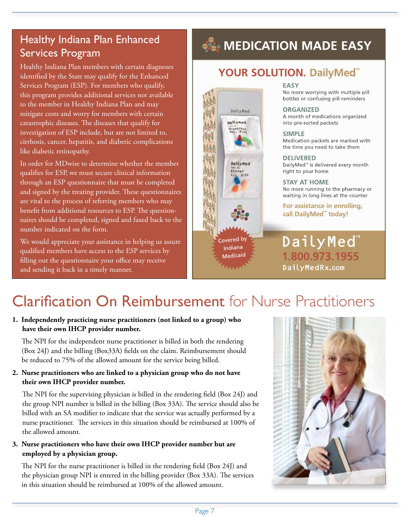## Healthy Indiana Plan Enhanced Services Program

Healthy Indiana Plan members with certain diagnoses identified by the State may qualify for the Enhanced Services Program (ESP). For members who qualify, this program provides additional services not available to the member in Healthy Indiana Plan and may mitigate costs and worry for members with certain catastrophic diseases. The diseases that qualify for investigation of ESP include, but are not limited to, cirrhosis, cancer, hepatitis, and diabetic complications like diabetic retinopathy.

In order for MDwise to determine whether the member qualifies for ESP, we must secure clinical information through an ESP questionnaire that must be completed and signed by the treating provider. These questionnaires are vital to the process of referring members who may benefit from additional resources to ESP. The questionnaires should be completed, signed and faxed back to the number indicated on the form.

We would appreciate your assistance in helping us assure qualified members have access to the ESP services by filling out the questionnaire your office may receive and sending it back in a timely manner.

## **ALCOHOL MADE EASY**

### YOUR SOLUTION. DailyMed<sup>"</sup>

DailyMed

Dailyned

Breakfast<br>Sat. 8/25

DailyNed

Dinner

overed by Indiana

Medicaid

#### **EASY**

No more worrying with multiple pill bottles or confusing pill reminders

**ORGANIZED** A month of medications organized into pre-sorted packets

**SIMPLE** Medication packets are marked with the time you need to take them

**DELIVERED** DailyMed<sup>™</sup> is delivered every month right to your home

**STAY AT HOME** No more running to the pharmacy or waiting in long lines at the counter

For assistance in enrolling, call DailyMed<sup>"</sup> today!

## DailyMed<sup>™</sup> 1.800.973.1955 DailyMedRx.com

## Clarification On Reimbursement for Nurse Practitioners

#### **1. Independently practicing nurse practitioners (not linked to a group) who have their own IHCP provider number.**

The NPI for the independent nurse practitioner is billed in both the rendering (Box 24J) and the billing (Box33A) fields on the claim. Reimbursement should be reduced to 75% of the allowed amount for the service being billed.

#### **2. Nurse practitioners who are linked to a physician group who do not have their own IHCP provider number.**

The NPI for the supervising physician is billed in the rendering field (Box 24J) and the group NPI number is billed in the billing (Box 33A). The service should also be billed with an SA modifier to indicate that the service was actually performed by a nurse practitioner. The services in this situation should be reimbursed at 100% of the allowed amount.

#### **3. Nurse practitioners who have their own IHCP provider number but are employed by a physician group.**

The NPI for the nurse practitioner is billed in the rendering field (Box 24J) and the physician group NPI is entered in the billing provider (Box 33A). The services in this situation should be reimbursed at 100% of the allowed amount.

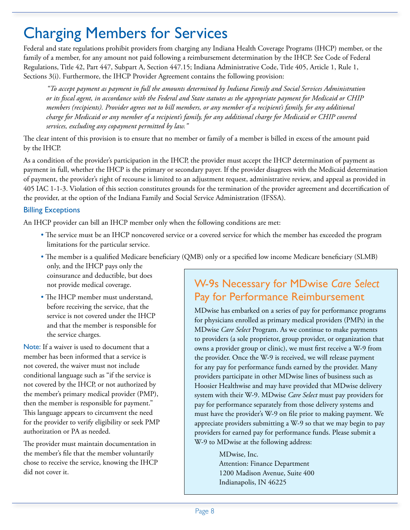## Charging Members for Services

Federal and state regulations prohibit providers from charging any Indiana Health Coverage Programs (IHCP) member, or the family of a member, for any amount not paid following a reimbursement determination by the IHCP. See Code of Federal Regulations, Title 42, Part 447, Subpart A, Section 447.15; Indiana Administrative Code, Title 405, Article 1, Rule 1, Sections 3(i). Furthermore, the IHCP Provider Agreement contains the following provision:

*"To accept payment as payment in full the amounts determined by Indiana Family and Social Services Administration or its fiscal agent, in accordance with the Federal and State statutes as the appropriate payment for Medicaid or CHIP members (recipients). Provider agrees not to bill members, or any member of a recipient's family, for any additional charge for Medicaid or any member of a recipient's family, for any additional charge for Medicaid or CHIP covered services, excluding any copayment permitted by law."* 

The clear intent of this provision is to ensure that no member or family of a member is billed in excess of the amount paid by the IHCP.

As a condition of the provider's participation in the IHCP, the provider must accept the IHCP determination of payment as payment in full, whether the IHCP is the primary or secondary payer. If the provider disagrees with the Medicaid determination of payment, the provider's right of recourse is limited to an adjustment request, administrative review, and appeal as provided in 405 IAC 1-1-3. Violation of this section constitutes grounds for the termination of the provider agreement and decertification of the provider, at the option of the Indiana Family and Social Service Administration (IFSSA).

### Billing Exceptions

An IHCP provider can bill an IHCP member only when the following conditions are met:

- The service must be an IHCP noncovered service or a covered service for which the member has exceeded the program limitations for the particular service.
- The member is a qualified Medicare beneficiary (QMB) only or a specified low income Medicare beneficiary (SLMB) only, and the IHCP pays only the
- coinsurance and deductible, but does not provide medical coverage.
- The IHCP member must understand, before receiving the service, that the service is not covered under the IHCP and that the member is responsible for the service charges.

Note: If a waiver is used to document that a member has been informed that a service is not covered, the waiver must not include conditional language such as "if the service is not covered by the IHCP, or not authorized by the member's primary medical provider (PMP), then the member is responsible for payment." This language appears to circumvent the need for the provider to verify eligibility or seek PMP authorization or PA as needed.

The provider must maintain documentation in the member's file that the member voluntarily chose to receive the service, knowing the IHCP did not cover it.

## W-9s Necessary for MDwise *Care Select* Pay for Performance Reimbursement

MDwise has embarked on a series of pay for performance programs for physicians enrolled as primary medical providers (PMPs) in the MDwise *Care Select* Program. As we continue to make payments to providers (a sole proprietor, group provider, or organization that owns a provider group or clinic), we must first receive a W-9 from the provider. Once the W-9 is received, we will release payment for any pay for performance funds earned by the provider. Many providers participate in other MDwise lines of business such as Hoosier Healthwise and may have provided that MDwise delivery system with their W-9. MDwise *Care Select* must pay providers for pay for performance separately from those delivery systems and must have the provider's W-9 on file prior to making payment. We appreciate providers submitting a W-9 so that we may begin to pay providers for earned pay for performance funds. Please submit a W-9 to MDwise at the following address:

> MDwise, Inc. Attention: Finance Department 1200 Madison Avenue, Suite 400 Indianapolis, IN 46225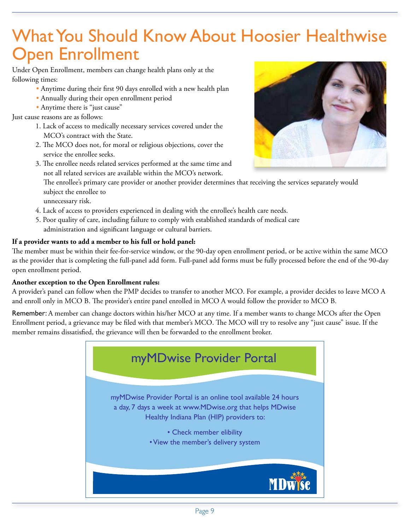## What You Should Know About Hoosier Healthwise Open Enrollment

Under Open Enrollment, members can change health plans only at the following times:

- Anytime during their first 90 days enrolled with a new health plan
- Annually during their open enrollment period
- Anytime there is "just cause"

Just cause reasons are as follows:

- 1. Lack of access to medically necessary services covered under the MCO's contract with the State.
- 2. The MCO does not, for moral or religious objections, cover the service the enrollee seeks.
- 3. The enrollee needs related services performed at the same time and not all related services are available within the MCO's network.



The enrollee's primary care provider or another provider determines that receiving the services separately would subject the enrollee to

unnecessary risk.

- 4. Lack of access to providers experienced in dealing with the enrollee's health care needs.
- 5. Poor quality of care, including failure to comply with established standards of medical care administration and significant language or cultural barriers.

### **If a provider wants to add a member to his full or hold panel:**

The member must be within their fee-for-service window, or the 90-day open enrollment period, or be active within the same MCO as the provider that is completing the full-panel add form. Full-panel add forms must be fully processed before the end of the 90-day open enrollment period.

### **Another exception to the Open Enrollment rules:**

A provider's panel can follow when the PMP decides to transfer to another MCO. For example, a provider decides to leave MCO A and enroll only in MCO B. The provider's entire panel enrolled in MCO A would follow the provider to MCO B.

Remember: A member can change doctors within his/her MCO at any time. If a member wants to change MCOs after the Open Enrollment period, a grievance may be filed with that member's MCO. The MCO will try to resolve any "just cause" issue. If the member remains dissatisfied, the grievance will then be forwarded to the enrollment broker.

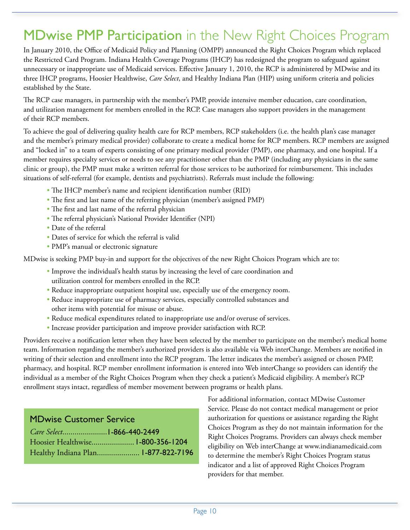## MDwise PMP Participation in the New Right Choices Program

In January 2010, the Office of Medicaid Policy and Planning (OMPP) announced the Right Choices Program which replaced the Restricted Card Program. Indiana Health Coverage Programs (IHCP) has redesigned the program to safeguard against unnecessary or inappropriate use of Medicaid services. Effective January 1, 2010, the RCP is administered by MDwise and its three IHCP programs, Hoosier Healthwise, *Care Select*, and Healthy Indiana Plan (HIP) using uniform criteria and policies established by the State.

The RCP case managers, in partnership with the member's PMP, provide intensive member education, care coordination, and utilization management for members enrolled in the RCP. Case managers also support providers in the management of their RCP members.

To achieve the goal of delivering quality health care for RCP members, RCP stakeholders (i.e. the health plan's case manager and the member's primary medical provider) collaborate to create a medical home for RCP members. RCP members are assigned and "locked in" to a team of experts consisting of one primary medical provider (PMP), one pharmacy, and one hospital. If a member requires specialty services or needs to see any practitioner other than the PMP (including any physicians in the same clinic or group), the PMP must make a written referral for those services to be authorized for reimbursement. This includes situations of self-referral (for example, dentists and psychiatrists). Referrals must include the following:

- The IHCP member's name and recipient identification number (RID)
- The first and last name of the referring physician (member's assigned PMP)
- The first and last name of the referral physician
- The referral physician's National Provider Identifier (NPI)
- Date of the referral
- Dates of service for which the referral is valid
- PMP's manual or electronic signature

MDwise is seeking PMP buy-in and support for the objectives of the new Right Choices Program which are to:

- Improve the individual's health status by increasing the level of care coordination and utilization control for members enrolled in the RCP.
- Reduce inappropriate outpatient hospital use, especially use of the emergency room.
- Reduce inappropriate use of pharmacy services, especially controlled substances and other items with potential for misuse or abuse.
- Reduce medical expenditures related to inappropriate use and/or overuse of services.
- Increase provider participation and improve provider satisfaction with RCP.

Providers receive a notification letter when they have been selected by the member to participate on the member's medical home team. Information regarding the member's authorized providers is also available via Web interChange. Members are notified in writing of their selection and enrollment into the RCP program. The letter indicates the member's assigned or chosen PMP, pharmacy, and hospital. RCP member enrollment information is entered into Web interChange so providers can identify the individual as a member of the Right Choices Program when they check a patient's Medicaid eligibility. A member's RCP enrollment stays intact, regardless of member movement between programs or health plans.

### MDwise Customer Service

| Hoosier Healthwise 1-800-356-1204 |                                     |
|-----------------------------------|-------------------------------------|
|                                   | Healthy Indiana Plan 1-877-822-7196 |

For additional information, contact MDwise Customer Service. Please do not contact medical management or prior authorization for questions or assistance regarding the Right Choices Program as they do not maintain information for the Right Choices Programs. Providers can always check member eligibility on Web interChange at www.indianamedicaid.com to determine the member's Right Choices Program status indicator and a list of approved Right Choices Program providers for that member.